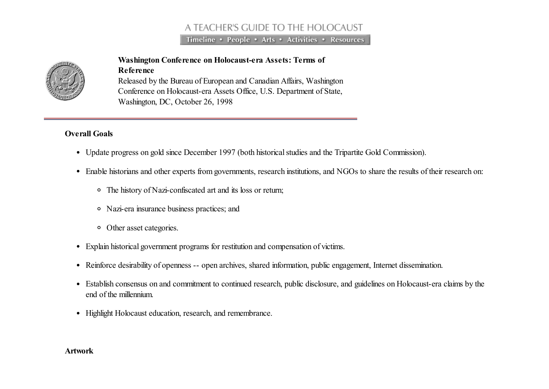# A TEACHER'S GUIDE TO THE HOLOCAUST

Timeline • People • Arts • Activities • Resources



# Washington Conference on Holocaust-era Assets: Terms of

Reference Released by the Bureau of European and Canadian Affairs, Washington Conference on Holocaust-era Assets Office, U.S. Department of State, Washington, DC, October 26, 1998

## Overall Goals

- Update progress on gold since December 1997 (both historical studies and the Tripartite Gold Commission).
- Enable historians and other experts from governments, research institutions, and NGOs to share the results of their research on:
	- The history of Nazi-confiscated art and its loss or return;
	- Nazi-era insurance business practices; and
	- Other asset categories.
- Explain historical government programs for restitution and compensation of victims.
- Reinforce desirability of openness -- open archives, shared information, public engagement, Internet dissemination.
- Establish consensus on and commitment to continued research, public disclosure, and guidelines on Holocaust-era claims by the end of the millennium.
- Highlight Holocaust education, research, and remembrance.

#### Artwork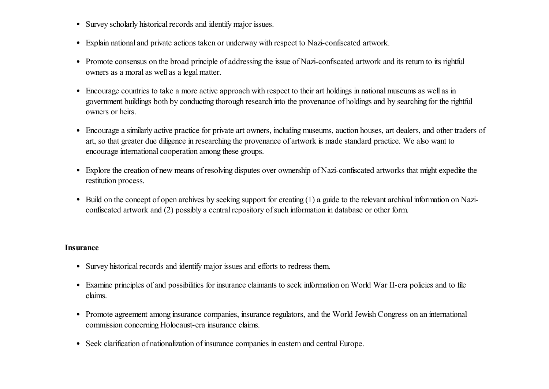- Survey scholarly historical records and identify major issues.
- Explain national and private actions taken or underway with respect to Nazi-confiscated artwork.
- Promote consensus on the broad principle of addressing the issue of Nazi-confiscated artwork and its return to its rightful owners as a moral as well as a legal matter.
- Encourage countries to take a more active approach with respect to their art holdings in national museums as well as in government buildings both by conducting thorough research into the provenance of holdings and by searching for the rightful owners or heirs.
- Encourage a similarly active practice for private art owners, including museums, auction houses, art dealers, and other traders of art, so that greater due diligence in researching the provenance of artwork is made standard practice. We also want to encourage international cooperation among these groups.
- Explore the creation of new means of resolving disputes over ownership of Nazi-confiscated artworks that might expedite the restitution process.
- Build on the concept of open archives by seeking support for creating (1) a guide to the relevant archival information on Naziconfiscated artwork and (2) possibly a central repository of such information in database or other form.

#### Insurance

- Survey historical records and identify major issues and efforts to redress them.
- Examine principles of and possibilities for insurance claimants to seek information on World War II-era policies and to file claims.
- Promote agreement among insurance companies, insurance regulators, and the World Jewish Congress on an international commission concerning Holocaust-era insurance claims.
- Seek clarification of nationalization of insurance companies in eastern and central Europe.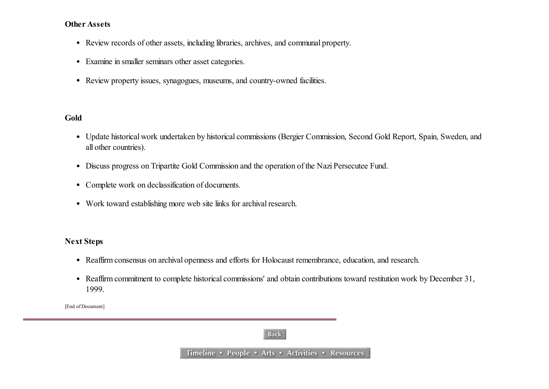#### Other Assets

- Review records of other assets, including libraries, archives, and communal property.
- Examine in smaller seminars other asset categories.
- Review property issues, synagogues, museums, and country-owned facilities.

#### Gold

- Update historical work undertaken by historical commissions (Bergier Commission, Second Gold Report, Spain, Sweden, and all other countries).
- Discuss progress on Tripartite Gold Commission and the operation of the Nazi Persecutee Fund.
- Complete work on declassification of documents.
- Work toward establishing more web site links for archival research.

## Next Steps

- Reaffirm consensus on archival openness and efforts for Holocaust remembrance, education, and research.
- Reaffirm commitment to complete historical commissions' and obtain contributions toward restitution work by December 31, 1999.

[End of Document]

## **Back**

Timeline • People • Arts • Activities • Resources